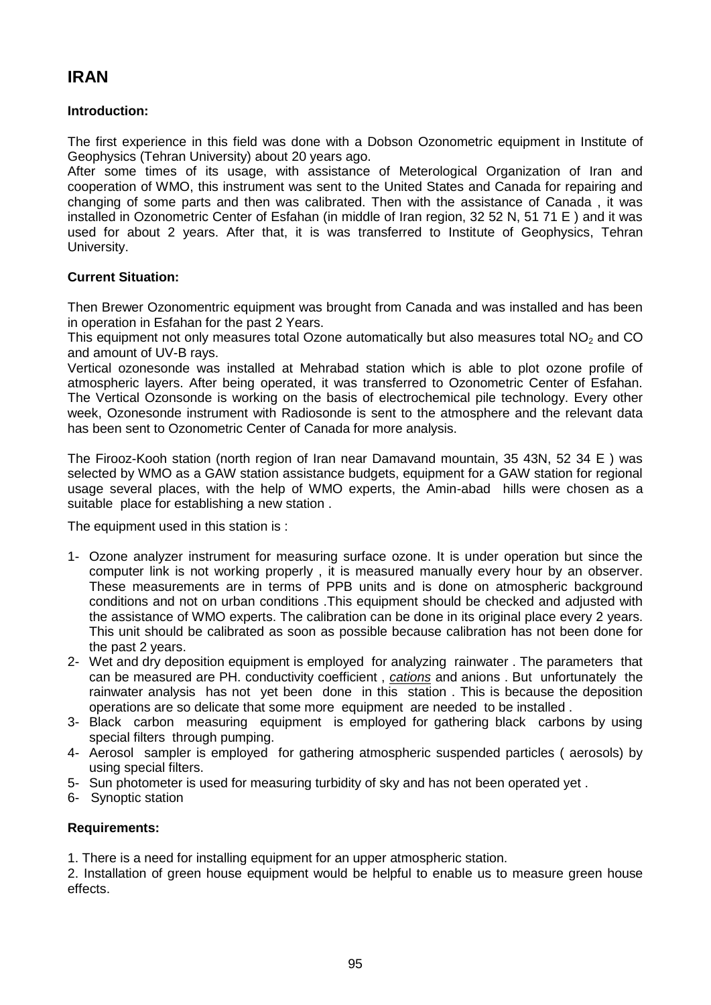# **IRAN**

## **Introduction:**

The first experience in this field was done with a Dobson Ozonometric equipment in Institute of Geophysics (Tehran University) about 20 years ago.

After some times of its usage, with assistance of Meterological Organization of Iran and cooperation of WMO, this instrument was sent to the United States and Canada for repairing and changing of some parts and then was calibrated. Then with the assistance of Canada , it was installed in Ozonometric Center of Esfahan (in middle of Iran region, 32 52 N, 51 71 E ) and it was used for about 2 years. After that, it is was transferred to Institute of Geophysics, Tehran University.

#### **Current Situation:**

Then Brewer Ozonomentric equipment was brought from Canada and was installed and has been in operation in Esfahan for the past 2 Years.

This equipment not only measures total Ozone automatically but also measures total  $NO<sub>2</sub>$  and CO and amount of UV-B rays.

Vertical ozonesonde was installed at Mehrabad station which is able to plot ozone profile of atmospheric layers. After being operated, it was transferred to Ozonometric Center of Esfahan. The Vertical Ozonsonde is working on the basis of electrochemical pile technology. Every other week, Ozonesonde instrument with Radiosonde is sent to the atmosphere and the relevant data has been sent to Ozonometric Center of Canada for more analysis.

The Firooz-Kooh station (north region of Iran near Damavand mountain, 35 43N, 52 34 E ) was selected by WMO as a GAW station assistance budgets, equipment for a GAW station for regional usage several places, with the help of WMO experts, the Amin-abad hills were chosen as a suitable place for establishing a new station .

The equipment used in this station is :

- 1- Ozone analyzer instrument for measuring surface ozone. It is under operation but since the computer link is not working properly , it is measured manually every hour by an observer. These measurements are in terms of PPB units and is done on atmospheric background conditions and not on urban conditions .This equipment should be checked and adjusted with the assistance of WMO experts. The calibration can be done in its original place every 2 years. This unit should be calibrated as soon as possible because calibration has not been done for the past 2 years.
- 2- Wet and dry deposition equipment is employed for analyzing rainwater . The parameters that can be measured are PH. conductivity coefficient , *cations* and anions . But unfortunately the rainwater analysis has not yet been done in this station . This is because the deposition operations are so delicate that some more equipment are needed to be installed .
- 3- Black carbon measuring equipment is employed for gathering black carbons by using special filters through pumping.
- 4- Aerosol sampler is employed for gathering atmospheric suspended particles ( aerosols) by using special filters.
- 5- Sun photometer is used for measuring turbidity of sky and has not been operated yet .
- 6- Synoptic station

#### **Requirements:**

1. There is a need for installing equipment for an upper atmospheric station.

2. Installation of green house equipment would be helpful to enable us to measure green house effects.